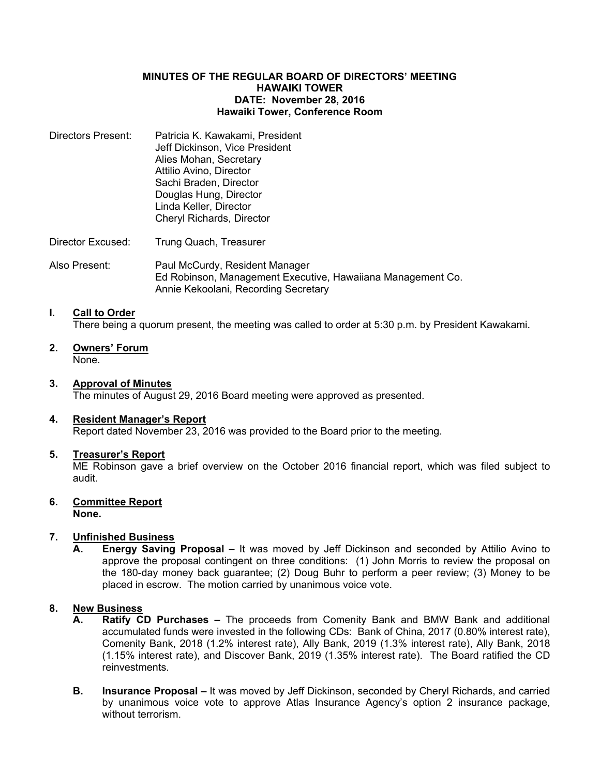## **MINUTES OF THE REGULAR BOARD OF DIRECTORS' MEETING HAWAIKI TOWER DATE: November 28, 2016 Hawaiki Tower, Conference Room**

| Directors Present: | Patricia K. Kawakami, President<br>Jeff Dickinson, Vice President<br>Alies Mohan, Secretary<br>Attilio Avino, Director<br>Sachi Braden, Director<br>Douglas Hung, Director<br>Linda Keller, Director<br>Cheryl Richards, Director |
|--------------------|-----------------------------------------------------------------------------------------------------------------------------------------------------------------------------------------------------------------------------------|
| Director Excused:  | Trung Quach, Treasurer                                                                                                                                                                                                            |

Also Present: Paul McCurdy, Resident Manager Ed Robinson, Management Executive, Hawaiiana Management Co. Annie Kekoolani, Recording Secretary

### **I. Call to Order**

There being a quorum present, the meeting was called to order at 5:30 p.m. by President Kawakami.

**2. Owners' Forum** None.

### **3. Approval of Minutes**

The minutes of August 29, 2016 Board meeting were approved as presented.

# **4. Resident Manager's Report**

Report dated November 23, 2016 was provided to the Board prior to the meeting.

#### **5. Treasurer's Report**

ME Robinson gave a brief overview on the October 2016 financial report, which was filed subject to audit.

# **6. Committee Report**

# **None.**

# **7. Unfinished Business**

**A. Energy Saving Proposal –** It was moved by Jeff Dickinson and seconded by Attilio Avino to approve the proposal contingent on three conditions: (1) John Morris to review the proposal on the 180-day money back guarantee; (2) Doug Buhr to perform a peer review; (3) Money to be placed in escrow. The motion carried by unanimous voice vote.

# **8. New Business**

- **A. Ratify CD Purchases –** The proceeds from Comenity Bank and BMW Bank and additional accumulated funds were invested in the following CDs: Bank of China, 2017 (0.80% interest rate), Comenity Bank, 2018 (1.2% interest rate), Ally Bank, 2019 (1.3% interest rate), Ally Bank, 2018 (1.15% interest rate), and Discover Bank, 2019 (1.35% interest rate). The Board ratified the CD reinvestments.
- **B. Insurance Proposal –** It was moved by Jeff Dickinson, seconded by Cheryl Richards, and carried by unanimous voice vote to approve Atlas Insurance Agency's option 2 insurance package, without terrorism.